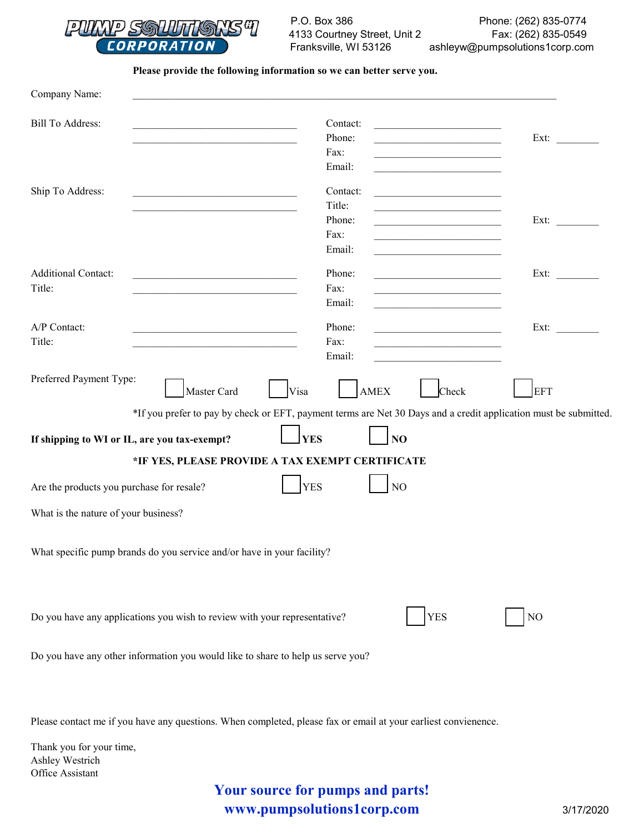

P.O. Box 386 4133 Courtney Street, Unit 2 Franksville, WI 53126 Phone: (262) 835-0774 Fax: (262) 835-0549 ashleyw@pumpsolutions1corp.com

**Please provide the following information so we can better serve you.**

| Company Name:                                                                                                |                                                                                                                                                                                                                                                                                                                                                                                                |            |  |
|--------------------------------------------------------------------------------------------------------------|------------------------------------------------------------------------------------------------------------------------------------------------------------------------------------------------------------------------------------------------------------------------------------------------------------------------------------------------------------------------------------------------|------------|--|
| <b>Bill To Address:</b><br>the control of the control of the control of the control of the control of        | Contact:<br><u> 1980 - Andrea Andrew Maria (h. 1980).</u><br>Phone:<br>Fax:<br>the control of the control of the control of the<br>Email:<br><u> 1989 - Andrea Andrew Maria (h. 1989).</u>                                                                                                                                                                                                     | Ext:       |  |
| Ship To Address:                                                                                             | Contact:<br>Title:<br>Phone:<br><u> 1989 - Johann John Harry John Harry John Harry John Harry John Harry John Harry John Harry John Harry John Harry John Harry John Harry John Harry John Harry John Harry John Harry John Harry John Harry John Harry John Har</u><br>Fax:<br>the control of the control of the control of the control of<br>Email:                                          | Ext:       |  |
| <b>Additional Contact:</b><br>Title:                                                                         | Phone:<br><u> 1990 - Johann John Harry Harry Harry Harry Harry Harry Harry Harry Harry Harry Harry Harry Harry Harry Harry Harry Harry Harry Harry Harry Harry Harry Harry Harry Harry Harry Harry Harry Harry Harry Harry Harry Harry Har</u><br>Fax:<br>the control of the control of the control of the control of<br>Email:<br>the control of the control of the control of the control of | Ext:       |  |
| A/P Contact:<br>the control of the control of the control of the control of the control of<br>Title:         | Phone:<br>the control of the control of the control of the<br>Fax:<br>the control of the control of the control of the<br>Email:                                                                                                                                                                                                                                                               | Ext:       |  |
| Preferred Payment Type:<br>Master Card<br>Visa<br><b>YES</b><br>If shipping to WI or IL, are you tax-exempt? | <b>AMEX</b><br>Check<br>*If you prefer to pay by check or EFT, payment terms are Net 30 Days and a credit application must be submitted<br>NO                                                                                                                                                                                                                                                  | <b>EFT</b> |  |
| *IF YES, PLEASE PROVIDE A TAX EXEMPT CERTIFICATE                                                             |                                                                                                                                                                                                                                                                                                                                                                                                |            |  |
| <b>YES</b><br>NO<br>Are the products you purchase for resale?                                                |                                                                                                                                                                                                                                                                                                                                                                                                |            |  |
| What is the nature of your business?                                                                         |                                                                                                                                                                                                                                                                                                                                                                                                |            |  |
| What specific pump brands do you service and/or have in your facility?                                       |                                                                                                                                                                                                                                                                                                                                                                                                |            |  |
| <b>YES</b><br>Do you have any applications you wish to review with your representative?<br>NO                |                                                                                                                                                                                                                                                                                                                                                                                                |            |  |
| Do you have any other information you would like to share to help us serve you?                              |                                                                                                                                                                                                                                                                                                                                                                                                |            |  |

Please contact me if you have any questions. When completed, please fax or email at your earliest convienence.

Thank you for your time, Ashley Westrich Office Assistant

## **Your source for pumps and parts! www.pumpsolutions1corp.com** 3/17/2020